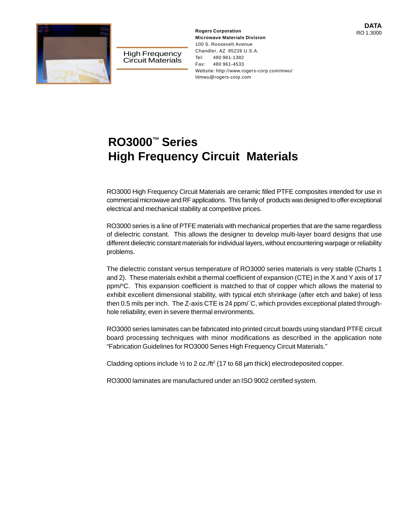



High Frequency Circuit Materials

RO 1.3000 **Rogers Corporation Microwave Materials Division** 100 S. Roosevelt Avenue Chandler, AZ 85226 U.S.A. Tel: 480 961-1382 Fax: 480 961-4533 Website: http://www.rogers-corp.com/mwu/ litmwu@rogers-corp.com

# **RO3000™ Series High Frequency Circuit Materials**

RO3000 High Frequency Circuit Materials are ceramic filled PTFE composites intended for use in commercial microwave and RF applications. This family of products was designed to offer exceptional electrical and mechanical stability at competitive prices.

RO3000 series is a line of PTFE materials with mechanical properties that are the same regardless of dielectric constant. This allows the designer to develop multi-layer board designs that use different dielectric constant materials for individual layers, without encountering warpage or reliability problems.

The dielectric constant versus temperature of RO3000 series materials is very stable (Charts 1 and 2). These materials exhibit a thermal coefficient of expansion (CTE) in the X and Y axis of 17 ppm/°C. This expansion coefficient is matched to that of copper which allows the material to exhibit excellent dimensional stability, with typical etch shrinkage (after etch and bake) of less then 0.5 mils per inch. The Z-axis CTE is 24 ppm/ °C, which provides exceptional plated throughhole reliability, even in severe thermal environments.

RO3000 series laminates can be fabricated into printed circuit boards using standard PTFE circuit board processing techniques with minor modifications as described in the application note "Fabrication Guidelines for RO3000 Series High Frequency Circuit Materials."

Cladding options include  $\frac{1}{2}$  to 2 oz./ft<sup>2</sup> (17 to 68  $\mu$ m thick) electrodeposited copper.

RO3000 laminates are manufactured under an ISO 9002 certified system.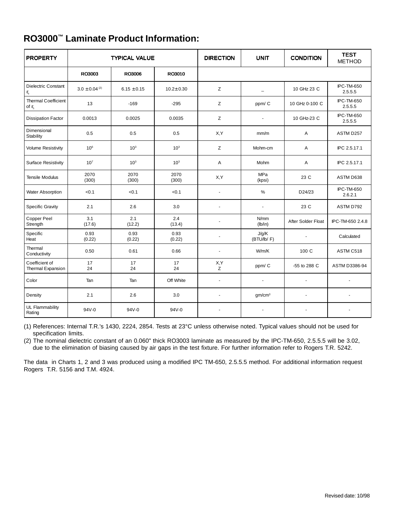|  |  |  | RO3000 <sup>™</sup> Laminate Product Information: |
|--|--|--|---------------------------------------------------|
|--|--|--|---------------------------------------------------|

| <b>PROPERTY</b>                                                  | <b>TYPICAL VALUE</b>          |                 | <b>DIRECTION</b> | <b>UNIT</b>              | <b>CONDITION</b>     | <b>TEST</b><br><b>METHOD</b> |                              |
|------------------------------------------------------------------|-------------------------------|-----------------|------------------|--------------------------|----------------------|------------------------------|------------------------------|
|                                                                  | RO3003                        | RO3006          | RO3010           |                          |                      |                              |                              |
| <b>Dielectric Constant</b><br>$\boldsymbol{\epsilon}_{\text{r}}$ | $3.0 \pm 0.04$ <sup>(2)</sup> | $6.15 \pm 0.15$ | $10.2 + 0.30$    | Z                        | $\equiv$             | 10 GHz 23 C                  | <b>IPC-TM-650</b><br>2.5.5.5 |
| <b>Thermal Coefficient</b><br>of $\varepsilon$ <sub>r</sub>      | 13                            | $-169$          | $-295$           | Z                        | ppm/C                | 10 GHz 0-100 C               | <b>IPC-TM-650</b><br>2.5.5.5 |
| <b>Dissipation Factor</b>                                        | 0.0013                        | 0.0025          | 0.0035           | Ζ                        |                      | 10 GHz-23 C                  | <b>IPC-TM-650</b><br>2.5.5.5 |
| Dimensional<br>Stability                                         | 0.5                           | 0.5             | 0.5              | X,Y                      | mm/m                 | A                            | ASTM D257                    |
| <b>Volume Resistivity</b>                                        | 10 <sup>6</sup>               | 10 <sup>3</sup> | 10 <sup>3</sup>  | Z                        | Mohm-cm              | A                            | IPC 2.5.17.1                 |
| <b>Surface Resistivity</b>                                       | 10 <sup>7</sup>               | 10 <sup>3</sup> | 10 <sup>3</sup>  | Α                        | Mohm                 | Α                            | IPC 2.5.17.1                 |
| <b>Tensile Modulus</b>                                           | 2070<br>(300)                 | 2070<br>(300)   | 2070<br>(300)    | X,Y                      | MPa<br>(kpsi)        | 23 C                         | ASTM D638                    |
| Water Absorption                                                 | < 0.1                         | < 0.1           | < 0.1            | ä,                       | %                    | D24/23                       | <b>IPC-TM-650</b><br>2.6.2.1 |
| <b>Specific Gravity</b>                                          | 2.1                           | 2.6             | 3.0              | ä,                       | $\overline{a}$       | 23 C                         | ASTM D792                    |
| Copper Peel<br>Strength                                          | 3.1<br>(17.6)                 | 2.1<br>(12.2)   | 2.4<br>(13.4)    | ä,                       | N/mm<br>(lb/in)      | After Solder Float           | IPC-TM-650 2.4.8             |
| Specific<br>Heat                                                 | 0.93<br>(0.22)                | 0.93<br>(0.22)  | 0.93<br>(0.22)   | ä,                       | J/g/K<br>(BTU/lb/ F) | $\overline{a}$               | Calculated                   |
| Thermal<br>Conductivity                                          | 0.50                          | 0.61            | 0.66             | ÷,                       | W/m/K                | 100 C                        | ASTM C518                    |
| Coefficient of<br>Thermal Expansion                              | 17<br>24                      | 17<br>24        | 17<br>24         | X,Y<br>z                 | ppm/C                | -55 to 288 C                 | ASTM D3386-94                |
| Color                                                            | Tan                           | Tan             | Off White        | $\overline{\phantom{a}}$ | $\overline{a}$       | $\sim$                       | ÷.                           |
| Density                                                          | 2.1                           | 2.6             | 3.0              | $\overline{a}$           | gm/cm <sup>3</sup>   | $\blacksquare$               |                              |
| <b>UL Flammability</b><br>Rating                                 | $94V - 0$                     | $94V - 0$       | 94V-0            | ÷.                       |                      |                              |                              |

(1) References: Internal T.R.'s 1430, 2224, 2854. Tests at 23°C unless otherwise noted. Typical values should not be used for specification limits.

(2) The nominal dielectric constant of an 0.060" thick RO3003 laminate as measured by the IPC-TM-650, 2.5.5.5 will be 3.02, due to the elimination of biasing caused by air gaps in the test fixture. For further information refer to Rogers T.R. 5242.

The data in Charts 1, 2 and 3 was produced using a modified IPC TM-650, 2.5.5.5 method. For additional information request Rogers T.R. 5156 and T.M. 4924.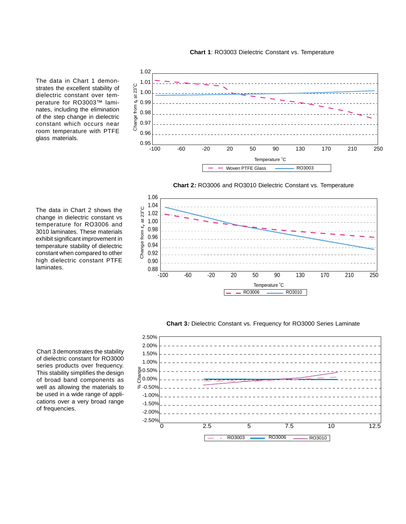

The data in Chart 1 demonstrates the excellent stability of dielectric constant over temperature for RO3003™ laminates, including the elimination of the step change in dielectric constant which occurs near room temperature with PTFE glass materials.

The data in Chart 2 shows the change in dielectric constant vs temperature for RO3006 and 3010 laminates. These materials exhibit significant improvement in temperature stability of dielectric constant when compared to other high dielectric constant PTFE laminates.







**Chart 3:** Dielectric Constant vs. Frequency for RO3000 Series Laminate



Chart 3 demonstrates the stability of dielectric constant for RO3000 series products over frequency. This stability simplifies the design of broad band components as well as allowing the materials to be used in a wide range of applications over a very broad range of frequencies.